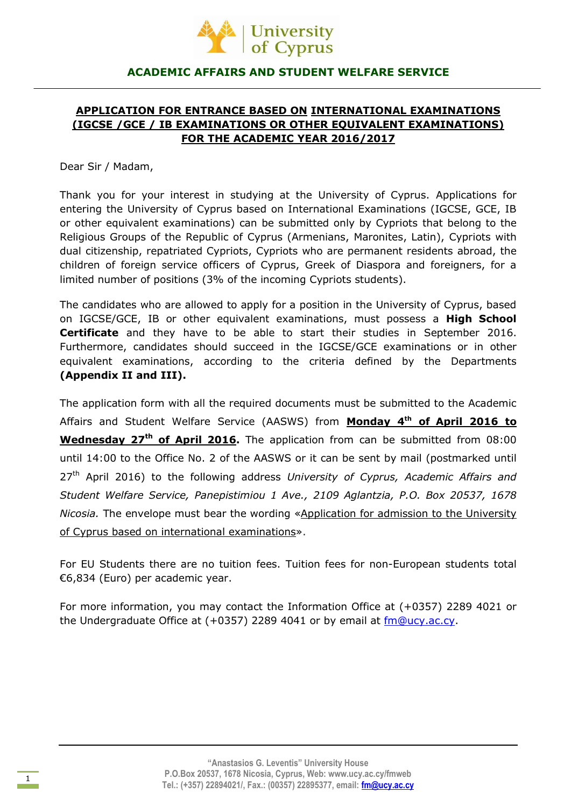

# **ACADEMIC AFFAIRS AND STUDENT WELFARE SERVICE**

# **APPLICATION FOR ENTRANCE BASED ON INTERNATIONAL EXAMINATIONS (IGCSE /GCE / IB EXAMINATIONS OR OTHER EQUIVALENT EXAMINATIONS) FOR THE ACADEMIC YEAR 2016/2017**

Dear Sir / Madam,

Thank you for your interest in studying at the University of Cyprus. Applications for entering the University of Cyprus based on International Examinations (IGCSE, GCE, IB or other equivalent examinations) can be submitted only by Cypriots that belong to the Religious Groups of the Republic of Cyprus (Armenians, Maronites, Latin), Cypriots with dual citizenship, repatriated Cypriots, Cypriots who are permanent residents abroad, the children of foreign service officers of Cyprus, Greek of Diaspora and foreigners, for a limited number of positions (3% of the incoming Cypriots students).

The candidates who are allowed to apply for a position in the University of Cyprus, based on IGCSE/GCE, IB or other equivalent examinations, must possess a **High School Certificate** and they have to be able to start their studies in September 2016. Furthermore, candidates should succeed in the IGCSE/GCE examinations or in other equivalent examinations, according to the criteria defined by the Departments **(Appendix II and III).**

The application form with all the required documents must be submitted to the Academic Affairs and Student Welfare Service (AASWS) from **Monday 4 th of April 2016 to Wednesday 27th of April 2016.** The application from can be submitted from 08:00 until 14:00 to the Office No. 2 of the AASWS or it can be sent by mail (postmarked until 27th April 2016) to the following address *University of Cyprus, Academic Affairs and Student Welfare Service, Panepistimiou 1 Ave., 2109 Aglantzia, P.O. Box 20537, 1678 Nicosia.* The envelope must bear the wording «Application for admission to the University of Cyprus based on international examinations».

For EU Students there are no tuition fees. Tuition fees for non-European students total €6,834 (Euro) per academic year.

For more information, you may contact the Information Office at (+0357) 2289 4021 or the Undergraduate Office at (+0357) 2289 4041 or by email at [fm@ucy.ac.cy.](mailto:fm@ucy.ac.cy)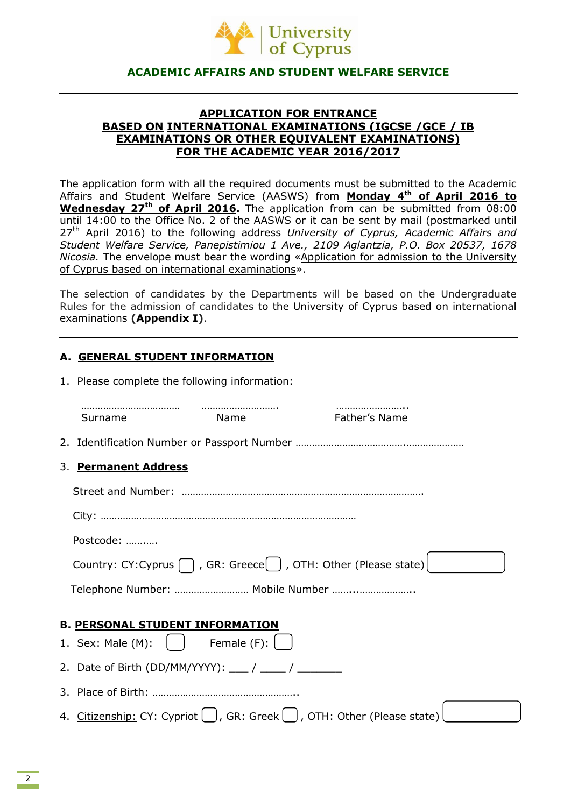

# **ACADEMIC AFFAIRS AND STUDENT WELFARE SERVICE**

# **APPLICATION FOR ENTRANCE BASED ON INTERNATIONAL EXAMINATIONS (IGCSE /GCE / IB EXAMINATIONS OR OTHER EQUIVALENT EXAMINATIONS) FOR THE ACADEMIC YEAR 2016/2017**

The application form with all the required documents must be submitted to the Academic Affairs and Student Welfare Service (AASWS) from **Monday 4 th of April 2016 to Wednesday 27th of April 2016.** The application from can be submitted from 08:00 until 14:00 to the Office No. 2 of the AASWS or it can be sent by mail (postmarked until 27th April 2016) to the following address *University of Cyprus, Academic Affairs and Student Welfare Service, Panepistimiou 1 Ave., 2109 Aglantzia, P.O. Box 20537, 1678 Nicosia.* The envelope must bear the wording «Application for admission to the University of Cyprus based on international examinations».

The selection of candidates by the Departments will be based on the Undergraduate Rules for the admission of candidates to the University of Cyprus based on international examinations **(Appendix I)**.

# **Α. GENERAL STUDENT INFORMATION**

1. Please complete the following information:

| Surname                                | Name           | Father's Name                                                                                                        |  |
|----------------------------------------|----------------|----------------------------------------------------------------------------------------------------------------------|--|
|                                        |                |                                                                                                                      |  |
| 3. Permanent Address                   |                |                                                                                                                      |  |
|                                        |                |                                                                                                                      |  |
|                                        |                |                                                                                                                      |  |
| Postcode:                              |                |                                                                                                                      |  |
|                                        |                | Country: CY: Cyprus $\bigcap$ , GR: Greece $\left( \begin{array}{c} \end{array} \right)$ , OTH: Other (Please state) |  |
|                                        |                | Telephone Number:  Mobile Number                                                                                     |  |
|                                        |                |                                                                                                                      |  |
| <b>B. PERSONAL STUDENT INFORMATION</b> |                |                                                                                                                      |  |
| 1. <u>Sex</u> : Male (M):              | Female $(F)$ : |                                                                                                                      |  |
|                                        |                |                                                                                                                      |  |
|                                        |                |                                                                                                                      |  |
|                                        |                | 4. Citizenship: CY: Cypriot $\bigcup$ , GR: Greek $\bigcup$ , OTH: Other (Please state)                              |  |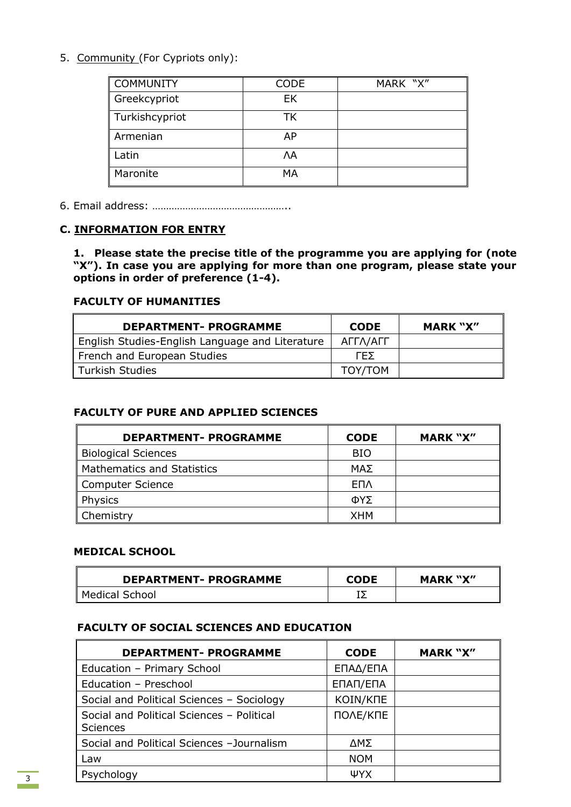5. Community (For Cypriots only):

| <b>COMMUNITY</b> | <b>CODE</b> | MARK "X" |
|------------------|-------------|----------|
| Greekcypriot     | EK          |          |
| Turkishcypriot   | TK          |          |
| Armenian         | AP          |          |
| Latin            | ΛA          |          |
| Maronite         | MA          |          |

6. Email address: …………………………………………..

# **C. INFORMATION FOR ENTRY**

**1. Please state the precise title of the programme you are applying for (note "X"). In case you are applying for more than one program, please state your options in order of preference (1-4).**

# **FACULTY OF HUMANITIES**

| <b>DEPARTMENT- PROGRAMME</b>                    | <b>CODE</b> | <b>MARK "X"</b> |
|-------------------------------------------------|-------------|-----------------|
| English Studies-English Language and Literature | ΑΓΓΛ/ΑΓΓ    |                 |
| French and European Studies                     | LEΣ.        |                 |
| <b>Turkish Studies</b>                          | TOY/TOM     |                 |

# **FACULTY OF PURE AND APPLIED SCIENCES**

| <b>DEPARTMENT- PROGRAMME</b>      | <b>CODE</b> | <b>MARK "X"</b> |
|-----------------------------------|-------------|-----------------|
| <b>Biological Sciences</b>        | <b>BIO</b>  |                 |
| <b>Mathematics and Statistics</b> | ΜΑΣ         |                 |
| Computer Science                  | <b>ENA</b>  |                 |
| Physics                           | ΦΥΣ         |                 |
| Chemistry                         | <b>XHM</b>  |                 |

# **MEDICAL SCHOOL**

| <b>DEPARTMENT- PROGRAMME</b> | <b>CODE</b> | <b>MARK "X"</b> |
|------------------------------|-------------|-----------------|
| Medical School               |             |                 |

# **FACULTY OF SOCIAL SCIENCES AND EDUCATION**

| <b>DEPARTMENT- PROGRAMME</b>                                 | <b>CODE</b> | <b>MARK "X"</b> |
|--------------------------------------------------------------|-------------|-----------------|
| Education - Primary School                                   | ΕΠΑΔ/ΕΠΑ    |                 |
| Education - Preschool                                        | ΕΠΑΠ/ΕΠΑ    |                 |
| Social and Political Sciences - Sociology                    | KOIN/KNE    |                 |
| Social and Political Sciences - Political<br><b>Sciences</b> | ПОЛЕ/КПЕ    |                 |
| Social and Political Sciences - Journalism                   | ΔΜΣ         |                 |
| Law                                                          | <b>NOM</b>  |                 |
| Psychology                                                   | ΨYΧ         |                 |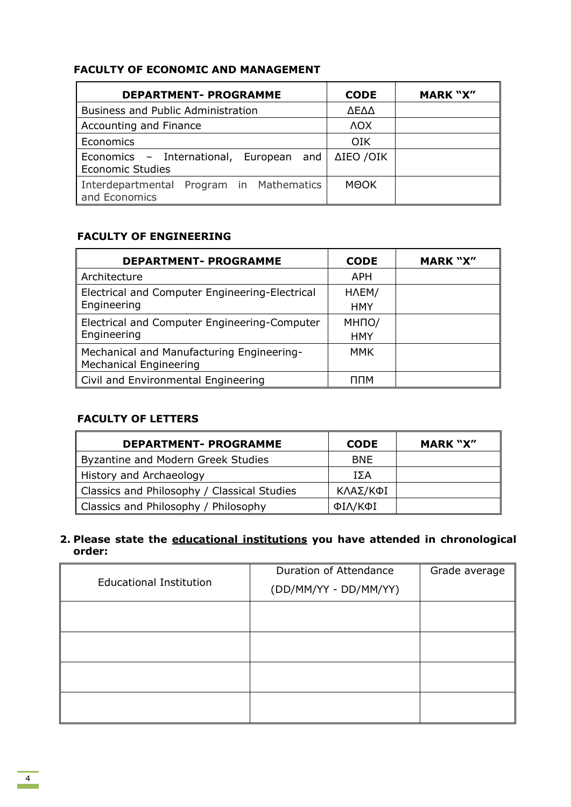| <b>FACULTY OF ECONOMIC AND MANAGEMENT</b> |  |
|-------------------------------------------|--|
|-------------------------------------------|--|

| <b>DEPARTMENT- PROGRAMME</b>                                            | <b>CODE</b> | <b>MARK "X"</b> |
|-------------------------------------------------------------------------|-------------|-----------------|
| <b>Business and Public Administration</b>                               | ΛΕΛΛ        |                 |
| Accounting and Finance                                                  | <b>AOX</b>  |                 |
| <b>Economics</b>                                                        | <b>OIK</b>  |                 |
| Economics - International, European and   ΔΙΕΟ /ΟΙΚ<br>Economic Studies |             |                 |
| Interdepartmental Program in Mathematics<br>and Economics               | MOOK        |                 |

# **FACULTY OF ENGINEERING**

| <b>DEPARTMENT- PROGRAMME</b>                                               | <b>CODE</b>        | <b>MARK "X"</b> |
|----------------------------------------------------------------------------|--------------------|-----------------|
| Architecture                                                               | <b>APH</b>         |                 |
| Electrical and Computer Engineering-Electrical                             | HAEM/              |                 |
| Engineering                                                                | <b>HMY</b>         |                 |
| Electrical and Computer Engineering-Computer                               | MH <sub>IO</sub> / |                 |
| Engineering                                                                | <b>HMY</b>         |                 |
| Mechanical and Manufacturing Engineering-<br><b>Mechanical Engineering</b> | MMK                |                 |
| Civil and Environmental Engineering                                        | ппм                |                 |

# **FACULTY OF LETTERS**

| <b>DEPARTMENT- PROGRAMME</b>                | <b>CODE</b> | <b>MARK "X"</b> |
|---------------------------------------------|-------------|-----------------|
| <b>Byzantine and Modern Greek Studies</b>   | <b>BNE</b>  |                 |
| History and Archaeology                     | ΙΣΑ         |                 |
| Classics and Philosophy / Classical Studies | ΚΛΑΣ/ΚΦΙ    |                 |
| Classics and Philosophy / Philosophy        | ΦΙΛ/ΚΦΙ     |                 |

# **2. Please state the educational institutions you have attended in chronological order:**

| <b>Educational Institution</b> | Duration of Attendance<br>(DD/MM/YY - DD/MM/YY) | Grade average |
|--------------------------------|-------------------------------------------------|---------------|
|                                |                                                 |               |
|                                |                                                 |               |
|                                |                                                 |               |
|                                |                                                 |               |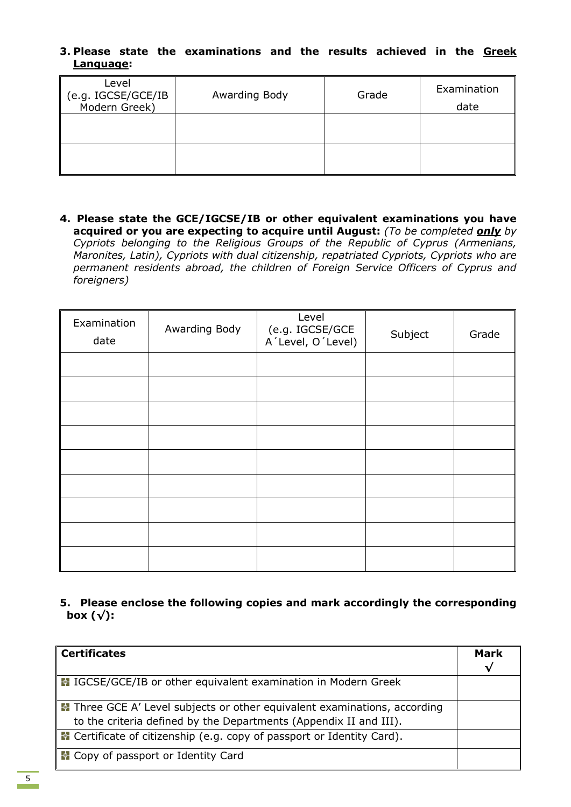# **3. Please state the examinations and the results achieved in the Greek Language:**

| Level<br>(e.g. IGCSE/GCE/IB<br>Modern Greek) | Awarding Body | Grade | Examination<br>date |
|----------------------------------------------|---------------|-------|---------------------|
|                                              |               |       |                     |
|                                              |               |       |                     |

**4. Please state the GCE/IGCSE/ΙΒ or other equivalent examinations you have acquired or you are expecting to acquire until August:** *(To be completed only by Cypriots belonging to the Religious Groups of the Republic of Cyprus (Armenians, Maronites, Latin), Cypriots with dual citizenship, repatriated Cypriots, Cypriots who are permanent residents abroad, the children of Foreign Service Officers of Cyprus and foreigners)*

| Examination<br>date | Awarding Body | Level<br>(e.g. IGCSE/GCE<br>A´Level, O´Level) | Subject | Grade |
|---------------------|---------------|-----------------------------------------------|---------|-------|
|                     |               |                                               |         |       |
|                     |               |                                               |         |       |
|                     |               |                                               |         |       |
|                     |               |                                               |         |       |
|                     |               |                                               |         |       |
|                     |               |                                               |         |       |
|                     |               |                                               |         |       |
|                     |               |                                               |         |       |
|                     |               |                                               |         |       |

**5. Please enclose the following copies and mark accordingly the corresponding box (√):**

| <b>Certificates</b>                                                           |   |
|-------------------------------------------------------------------------------|---|
|                                                                               | √ |
| ■ IGCSE/GCE/IB or other equivalent examination in Modern Greek                |   |
| Three GCE A' Level subjects or other equivalent examinations, according       |   |
| to the criteria defined by the Departments (Appendix II and III).             |   |
| <b>E</b> Certificate of citizenship (e.g. copy of passport or Identity Card). |   |
| <b>E</b> Copy of passport or Identity Card                                    |   |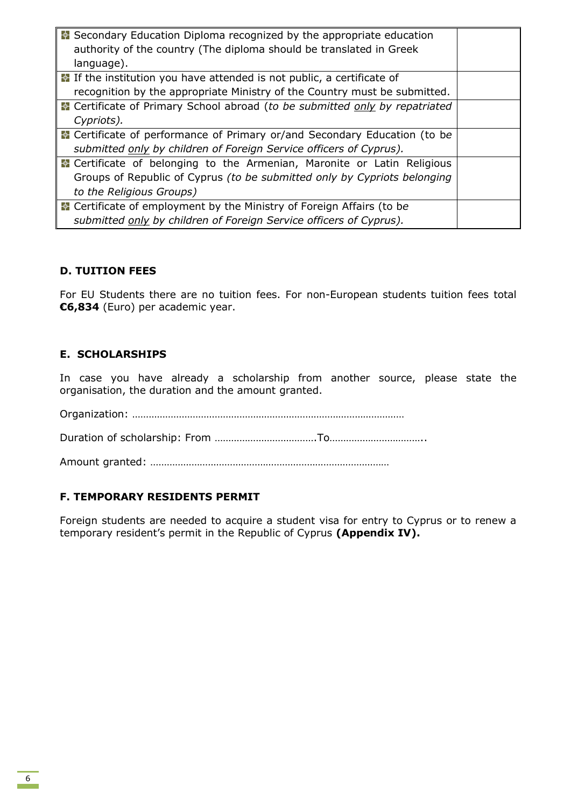| Secondary Education Diploma recognized by the appropriate education                |  |
|------------------------------------------------------------------------------------|--|
| authority of the country (The diploma should be translated in Greek                |  |
| language).                                                                         |  |
| <b>E</b> If the institution you have attended is not public, a certificate of      |  |
| recognition by the appropriate Ministry of the Country must be submitted.          |  |
| <b>E</b> Certificate of Primary School abroad (to be submitted only by repatriated |  |
| Cypriots).                                                                         |  |
| Certificate of performance of Primary or/and Secondary Education (to be            |  |
| submitted only by children of Foreign Service officers of Cyprus).                 |  |
| <b>E</b> Certificate of belonging to the Armenian, Maronite or Latin Religious     |  |
| Groups of Republic of Cyprus (to be submitted only by Cypriots belonging           |  |
| to the Religious Groups)                                                           |  |
| Certificate of employment by the Ministry of Foreign Affairs (to be                |  |
| submitted only by children of Foreign Service officers of Cyprus).                 |  |

# **D. TUITION FEES**

For EU Students there are no tuition fees. For non-European students tuition fees total **€6,834** (Euro) per academic year.

# **E. SCHOLARSHIPS**

In case you have already a scholarship from another source, please state the organisation, the duration and the amount granted.

Organization: ……………………………………………………………………………………… Duration of scholarship: From ……………………………….To…………………………….. Amount granted: ……………………………………………………………………………

# **F. TEMPORARY RESIDENTS PERMIT**

Foreign students are needed to acquire a student visa for entry to Cyprus or to renew a temporary resident's permit in the Republic of Cyprus **(Appendix IV).**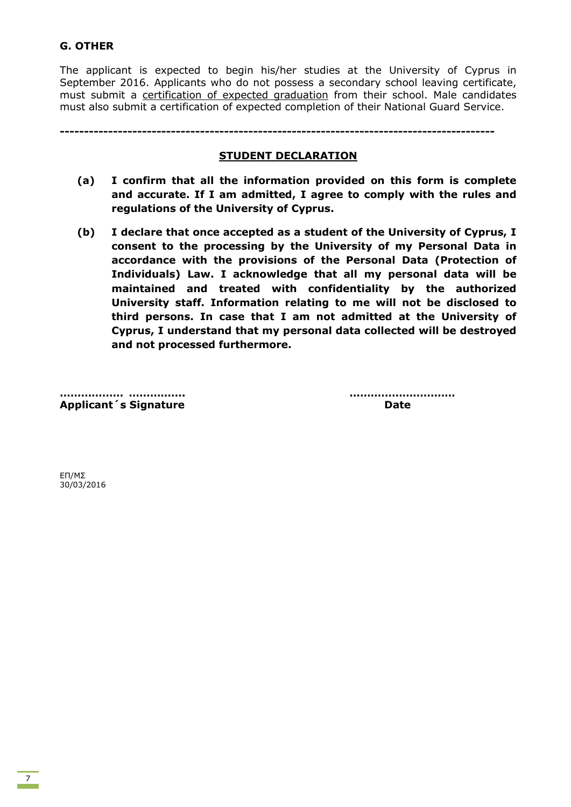# **G. OTHER**

The applicant is expected to begin his/her studies at the University of Cyprus in September 2016. Applicants who do not possess a secondary school leaving certificate, must submit a certification of expected graduation from their school. Male candidates must also submit a certification of expected completion of their National Guard Service.

**------------------------------------------------------------------------------------------**

### **STUDENT DECLARATION**

- **(a) I confirm that all the information provided on this form is complete and accurate. If I am admitted, I agree to comply with the rules and regulations of the University of Cyprus.**
- **(b) I declare that once accepted as a student of the University of Cyprus, I consent to the processing by the University of my Personal Data in accordance with the provisions of the Personal Data (Protection of Individuals) Law. I acknowledge that all my personal data will be maintained and treated with confidentiality by the authorized University staff. Information relating to me will not be disclosed to third persons. In case that I am not admitted at the University of Cyprus, I understand that my personal data collected will be destroyed and not processed furthermore.**

**Applicant´s Signature Date** 

**……………… ……………. …………………………**

ΕΠ/ΜΣ 30/03/2016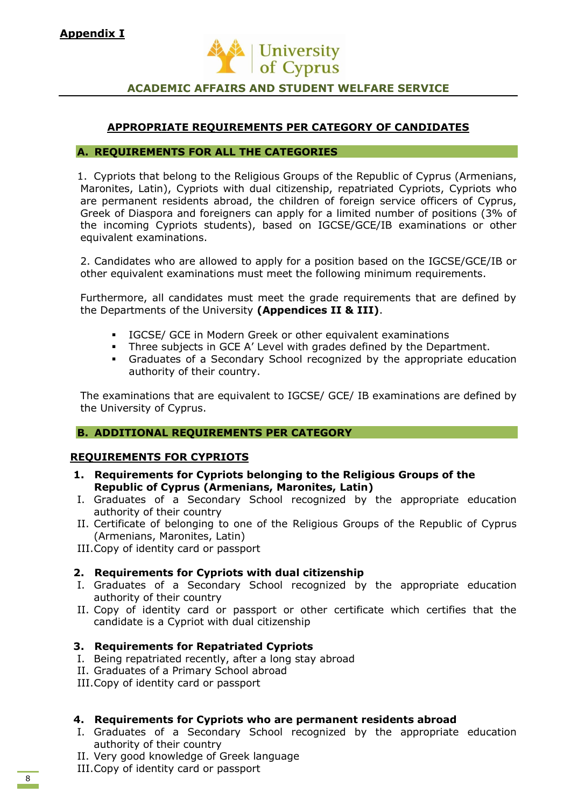

# **ACADEMIC AFFAIRS AND STUDENT WELFARE SERVICE**

# **APPROPRIATE REQUIREMENTS PER CATEGORY OF CANDIDATES**

### **A. REQUIREMENTS FOR ALL THE CATEGORIES**

1. Cypriots that belong to the Religious Groups of the Republic of Cyprus (Armenians, Maronites, Latin), Cypriots with dual citizenship, repatriated Cypriots, Cypriots who are permanent residents abroad, the children of foreign service officers of Cyprus, Greek of Diaspora and foreigners can apply for a limited number of positions (3% of the incoming Cypriots students), based on IGCSE/GCE/IB examinations or other equivalent examinations.

2. Candidates who are allowed to apply for a position based on the IGCSE/GCE/IB or other equivalent examinations must meet the following minimum requirements.

Furthermore, all candidates must meet the grade requirements that are defined by the Departments of the University **(Appendices II & III)**.

- IGCSE/ GCE in Modern Greek or other equivalent examinations
- Three subjects in GCE A' Level with grades defined by the Department.
- Graduates of a Secondary School recognized by the appropriate education authority of their country.

The examinations that are equivalent to IGCSE/ GCE/ ΙΒ examinations are defined by the University of Cyprus.

# **B. ADDITIONAL REQUIREMENTS PER CATEGORY**

# **REQUIREMENTS FOR CYPRIOTS**

- **1. Requirements for Cypriots belonging to the Religious Groups of the Republic of Cyprus (Armenians, Maronites, Latin)**
- I. Graduates of a Secondary School recognized by the appropriate education authority of their country
- II. Certificate of belonging to one of the Religious Groups of the Republic of Cyprus (Armenians, Maronites, Latin)

III.Copy of identity card or passport

# **2. Requirements for Cypriots with dual citizenship**

- I. Graduates of a Secondary School recognized by the appropriate education authority of their country
- II. Copy of identity card or passport or other certificate which certifies that the candidate is a Cypriot with dual citizenship

# **3. Requirements for Repatriated Cypriots**

- I. Being repatriated recently, after a long stay abroad
- II. Graduates of a Primary School abroad
- III.Copy of identity card or passport

# **4. Requirements for Cypriots who are permanent residents abroad**

- I. Graduates of a Secondary School recognized by the appropriate education authority of their country
- II. Very good knowledge of Greek language
- III.Copy of identity card or passport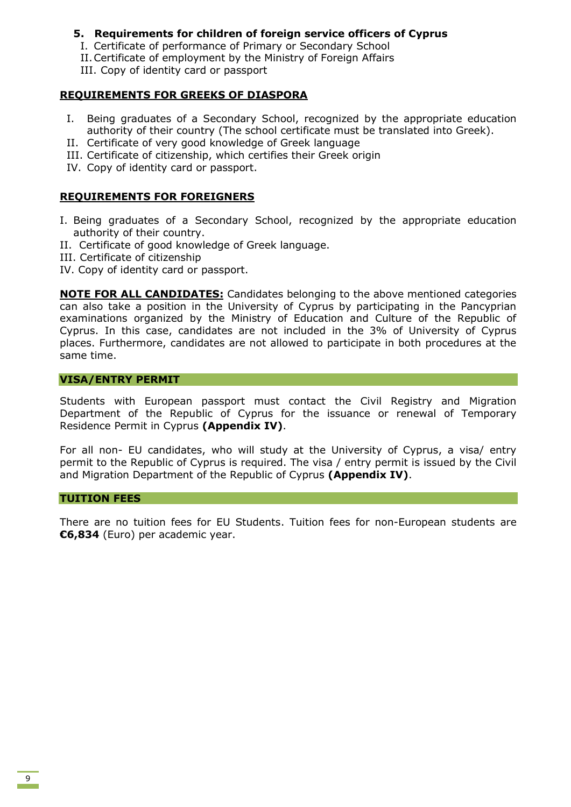# **5. Requirements for children of foreign service officers of Cyprus**

- I. Certificate of performance of Primary or Secondary School
- II.Certificate of employment by the Ministry of Foreign Affairs
- III. Copy of identity card or passport

# **REQUIREMENTS FOR GREEKS OF DIASPORA**

- I. Being graduates of a Secondary School, recognized by the appropriate education authority of their country (The school certificate must be translated into Greek).
- II. Certificate of very good knowledge of Greek language
- III. Certificate of citizenship, which certifies their Greek origin
- IV. Copy of identity card or passport.

# **REQUIREMENTS FOR FOREIGNERS**

- I. Being graduates of a Secondary School, recognized by the appropriate education authority of their country.
- ΙΙ. Certificate of good knowledge of Greek language.
- ΙΙΙ. Certificate of citizenship
- IV. Copy of identity card or passport.

**NOTE FOR ALL CANDIDATES:** Candidates belonging to the above mentioned categories can also take a position in the University of Cyprus by participating in the Pancyprian examinations organized by the Ministry of Education and Culture of the Republic of Cyprus. In this case, candidates are not included in the 3% of University of Cyprus places. Furthermore, candidates are not allowed to participate in both procedures at the same time.

#### **VISA/ENTRY PERMIT**

Students with European passport must contact the Civil Registry and Migration Department of the Republic of Cyprus for the issuance or renewal of Temporary Residence Permit in Cyprus **(Appendix IV)**.

For all non- EU candidates, who will study at the University of Cyprus, a visa/ entry permit to the Republic of Cyprus is required. The visa / entry permit is issued by the Civil and Migration Department of the Republic of Cyprus **(Appendix IV)**.

### **TUITION FEES**

There are no tuition fees for EU Students. Tuition fees for non-European students are **€6,834** (Euro) per academic year.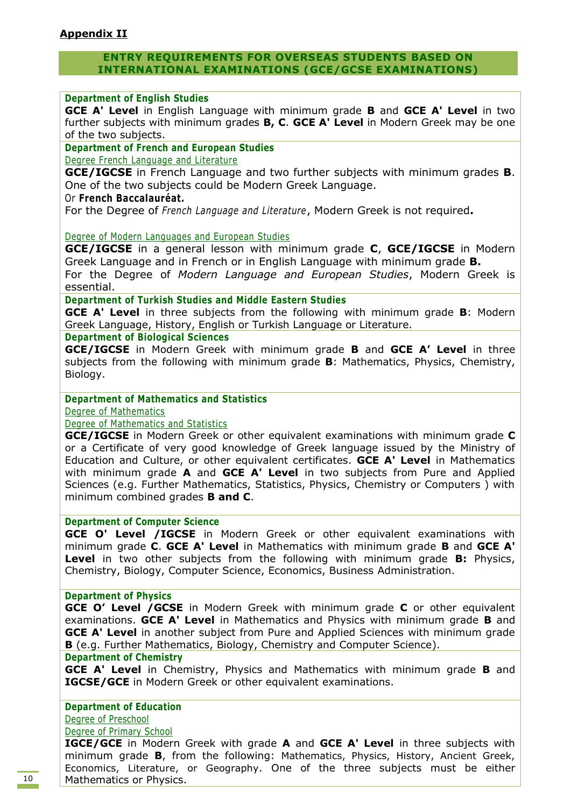# **ENTRY REQUIREMENTS FOR OVERSEAS STUDENTS BASED ON INTERNATIONAL EXAMINATIONS (GCE/GCSE EXAMINATIONS)**

### **Department of English Studies**

**GCE A' Level** in English Language with minimum grade **B** and **GCE A' Level** in two further subjects with minimum grades **B, C**. **GCE A' Level** in Modern Greek may be one of the two subjects.

### **Department of French and European Studies**

Degree French Language and Literature

**GCE/IGCSE** in French Language and two further subjects with minimum grades **B**. One of the two subjects could be Modern Greek Language.

### Or **French Baccalauréat.**

For the Degree of *French Language and Literature*, Modern Greek is not required**.**

### Degree of Modern Languages and European Studies

**GCE/IGCSE** in a general lesson with minimum grade **C**, **GCE/IGCSE** in Modern Greek Language and in French or in English Language with minimum grade **B.**

For the Degree of *Modern Language and European Studies*, Modern Greek is essential.

# **Department of Turkish Studies and Middle Eastern Studies**

**GCE A' Level** in three subjects from the following with minimum grade **B**: Modern Greek Language, History, English or Turkish Language or Literature.

### **Department of Biological Sciences**

**GCE/IGCSE** in Modern Greek with minimum grade **B** and **GCE A' Level** in three subjects from the following with minimum grade **B**: Mathematics, Physics, Chemistry, Biology.

### **Department of Mathematics and Statistics**

Degree of Mathematics

### Degree of Mathematics and Statistics

**GCE/IGCSE** in Modern Greek or other equivalent examinations with minimum grade **C**  or a Certificate of very good knowledge of Greek language issued by the Ministry of Education and Culture, or other equivalent certificates. **GCE A' Level** in Mathematics with minimum grade **A** and **GCE A' Level** in two subjects from Pure and Applied Sciences (e.g. Further Mathematics, Statistics, Physics, Chemistry or Computers ) with minimum combined grades **B and C**.

#### **Department of Computer Science**

**GCE O' Level /IGCSE** in Modern Greek or other equivalent examinations with minimum grade **C**. **GCE A' Level** in Mathematics with minimum grade **B** and **GCE A' Level** in two other subjects from the following with minimum grade **B:** Physics, Chemistry, Biology, Computer Science, Economics, Business Administration.

#### **Department of Physics**

**GCE O' Level /GCSE** in Modern Greek with minimum grade **C** or other equivalent examinations. **GCE A' Level** in Mathematics and Physics with minimum grade **B** and **GCE A' Level** in another subject from Pure and Applied Sciences with minimum grade **B** (e.g. Further Mathematics, Biology, Chemistry and Computer Science).

#### **Department of Chemistry**

**GCE A' Level** in Chemistry, Physics and Mathematics with minimum grade **B** and **IGCSE/GCE** in Modern Greek or other equivalent examinations.

# **Department of Education**

Degree of Preschool

### Degree of Primary School

**IGCE/GCE** in Modern Greek with grade **A** and **GCE A' Level** in three subjects with minimum grade **B**, from the following: Mathematics, Physics, History, Ancient Greek, Economics, Literature, or Geography. One of the three subjects must be either Mathematics or Physics.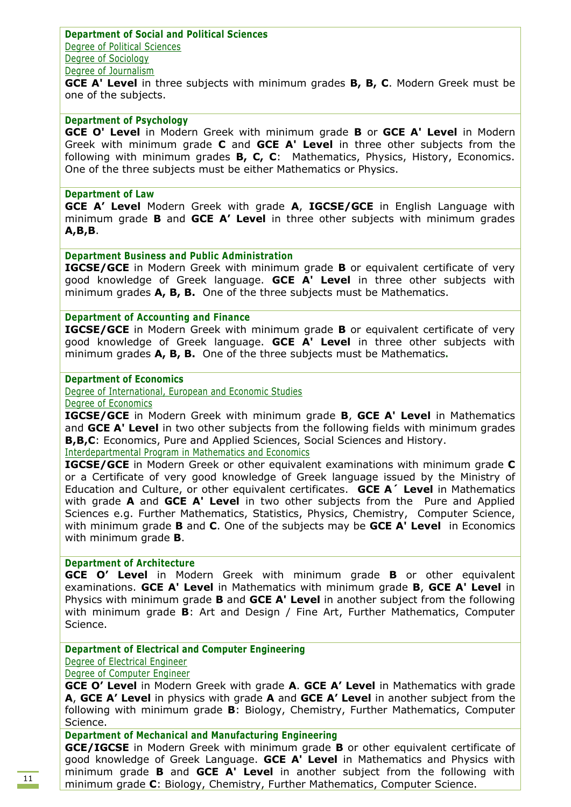**Department of Social and Political Sciences** Degree of Political Sciences Degree of Sociology Degree of Journalism

**GCE A' Level** in three subjects with minimum grades **B, B, C**. Modern Greek must be one of the subjects.

# **Department of Psychology**

**GCE O' Level** in Modern Greek with minimum grade **B** or **GCE A' Level** in Modern Greek with minimum grade **C** and **GCE A' Level** in three other subjects from the following with minimum grades **B, C, C**: Mathematics, Physics, History, Economics. One of the three subjects must be either Mathematics or Physics.

#### **Department of Law**

**GCE A' Level** Modern Greek with grade **A**, **IGCSE/GCE** in English Language with minimum grade **B** and **GCE A' Level** in three other subjects with minimum grades **A,B,B**.

#### **Department Business and Public Administration**

**IGCSE/GCE** in Modern Greek with minimum grade **B** or equivalent certificate of very good knowledge of Greek language. **GCE A' Level** in three other subjects with minimum grades **A, B, B.** One of the three subjects must be Mathematics.

### **Department of Accounting and Finance**

**IGCSE/GCE** in Modern Greek with minimum grade **B** or equivalent certificate of very good knowledge of Greek language. **GCE A' Level** in three other subjects with minimum grades **A, B, B.** One of the three subjects must be Mathematics**.**

#### **Department of Economics**

Degree of International, European and Economic Studies

Degree of Economics

**IGCSE/GCE** in Modern Greek with minimum grade **B**, **GCE A' Level** in Mathematics and **GCE A' Level** in two other subjects from the following fields with minimum grades **B,B,C**: Economics, Pure and Applied Sciences, Social Sciences and History.

Interdepartmental Program in Mathematics and Economics

**IGCSE/GCE** in Modern Greek or other equivalent examinations with minimum grade **C** or a Certificate of very good knowledge of Greek language issued by the Ministry of Education and Culture, or other equivalent certificates. **GCE A´ Level** in Mathematics with grade **Α** and **GCE A' Level** in two other subjects from the Pure and Applied Sciences e.g. Further Mathematics, Statistics, Physics, Chemistry, Computer Science, with minimum grade **B** and **C**. One of the subjects may be **GCE A' Level** in Economics with minimum grade **Β**.

### **Department of Architecture**

**GCE O' Level** in Modern Greek with minimum grade **B** or other equivalent examinations. **GCE A' Level** in Mathematics with minimum grade **B**, **GCE A' Level** in Physics with minimum grade **B** and **GCE A' Level** in another subject from the following with minimum grade **B**: Art and Design / Fine Art, Further Mathematics, Computer Science.

#### **Department of Electrical and Computer Engineering**

Degree of Electrical Engineer

#### Degree of Computer Engineer

**GCE O' Level** in Modern Greek with grade **A**. **GCE A' Level** in Mathematics with grade **A**, **GCE A' Level** in physics with grade **A** and **GCE A' Level** in another subject from the following with minimum grade **B**: Biology, Chemistry, Further Mathematics, Computer Science.

#### **Department of Mechanical and Manufacturing Engineering**

**GCE/IGCSE** in Modern Greek with minimum grade **B** or other equivalent certificate of good knowledge of Greek Language. **GCE A' Level** in Mathematics and Physics with minimum grade **B** and **GCE A' Level** in another subject from the following with minimum grade **C**: Biology, Chemistry, Further Mathematics, Computer Science.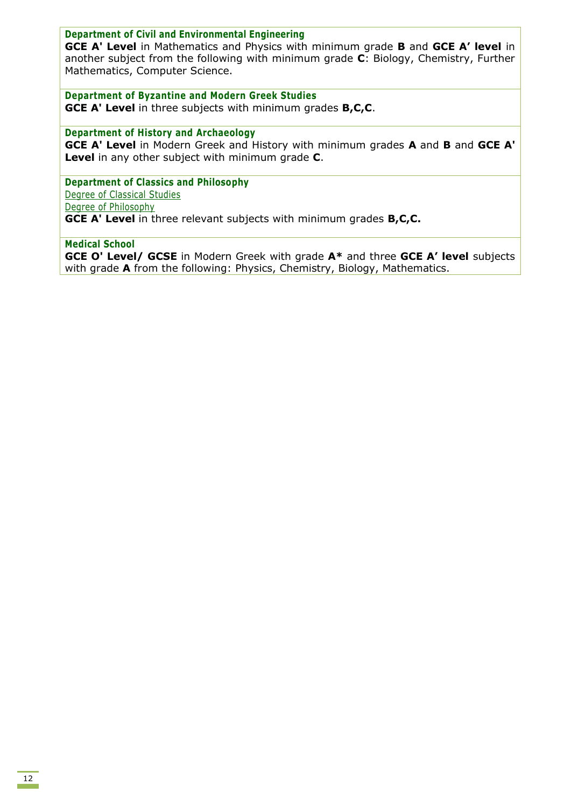### **Department of Civil and Environmental Engineering**

**GCE A' Level** in Mathematics and Physics with minimum grade **B** and **GCE A' level** in another subject from the following with minimum grade **C**: Biology, Chemistry, Further Mathematics, Computer Science.

**Department of Byzantine and Modern Greek Studies**

**GCE A' Level** in three subjects with minimum grades **B,C,C**.

**Department of History and Archaeology GCE A' Level** in Modern Greek and History with minimum grades **A** and **B** and **GCE A' Level** in any other subject with minimum grade **C**.

**Department of Classics and Philosophy** Degree of Classical Studies Degree of Philosophy **GCE A' Level** in three relevant subjects with minimum grades **B,C,C.**

### **Medical School**

**GCE O' Level/ GCSE** in Modern Greek with grade **A\*** and three **GCE A' level** subjects with grade **A** from the following: Physics, Chemistry, Biology, Mathematics.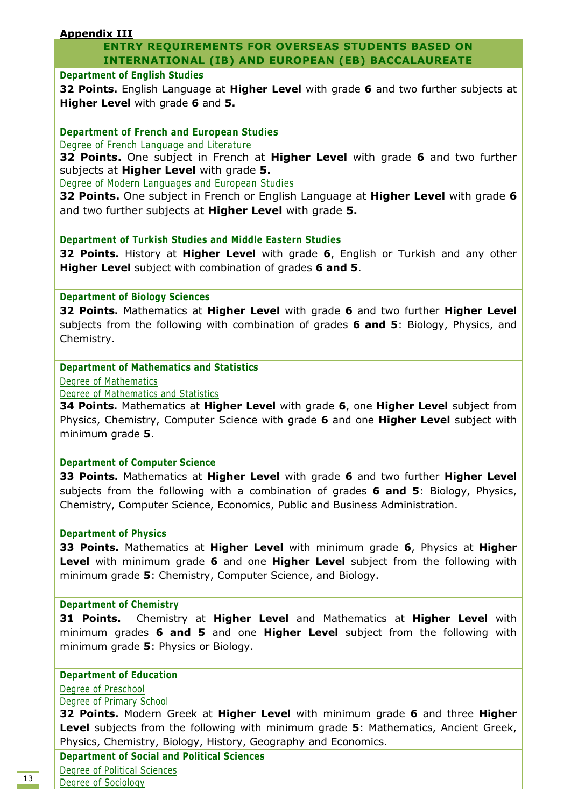# **Appendix III**

# **ENTRY REQUIREMENTS FOR OVERSEAS STUDENTS BASED ON INTERNATIONAL (IB) AND EUROPEAN (EB) BACCALAUREATE**

### **Department of English Studies**

**32 Points.** English Language at **Higher Level** with grade **6** and two further subjects at **Higher Level** with grade **6** and **5.**

**Department of French and European Studies**

Degree of French Language and Literature

**32 Points.** One subject in French at **Higher Level** with grade **6** and two further subjects at **Higher Level** with grade **5.**

Degree of Modern Languages and European Studies

**32 Points.** One subject in French or English Language at **Higher Level** with grade **6** and two further subjects at **Higher Level** with grade **5.**

**Department of Turkish Studies and Middle Eastern Studies**

**32 Points.** History at **Higher Level** with grade **6**, English or Turkish and any other **Higher Level** subject with combination of grades **6 and 5**.

### **Department of Biology Sciences**

**32 Points.** Mathematics at **Higher Level** with grade **6** and two further **Higher Level** subjects from the following with combination of grades **6 and 5**: Biology, Physics, and Chemistry.

# **Department of Mathematics and Statistics**

Degree of Mathematics

Degree of Mathematics and Statistics

**34 Points.** Mathematics at **Higher Level** with grade **6**, one **Higher Level** subject from Physics, Chemistry, Computer Science with grade **6** and one **Higher Level** subject with minimum grade **5**.

#### **Department of Computer Science**

**33 Points.** Mathematics at **Higher Level** with grade **6** and two further **Higher Level** subjects from the following with a combination of grades **6 and 5**: Biology, Physics, Chemistry, Computer Science, Economics, Public and Business Administration.

#### **Department of Physics**

**33 Points.** Mathematics at **Higher Level** with minimum grade **6**, Physics at **Higher Level** with minimum grade **6** and one **Higher Level** subject from the following with minimum grade **5**: Chemistry, Computer Science, and Biology.

#### **Department of Chemistry**

**31 Points.** Chemistry at **Higher Level** and Mathematics at **Higher Level** with minimum grades **6 and 5** and one **Higher Level** subject from the following with minimum grade **5**: Physics or Biology.

# **Department of Education**

Degree of Preschool Degree of Primary School

**32 Points.** Modern Greek at **Higher Level** with minimum grade **6** and three **Higher Level** subjects from the following with minimum grade **5**: Mathematics, Ancient Greek, Physics, Chemistry, Biology, History, Geography and Economics.

**Department of Social and Political Sciences**  Degree of Political Sciences Degree of Sociology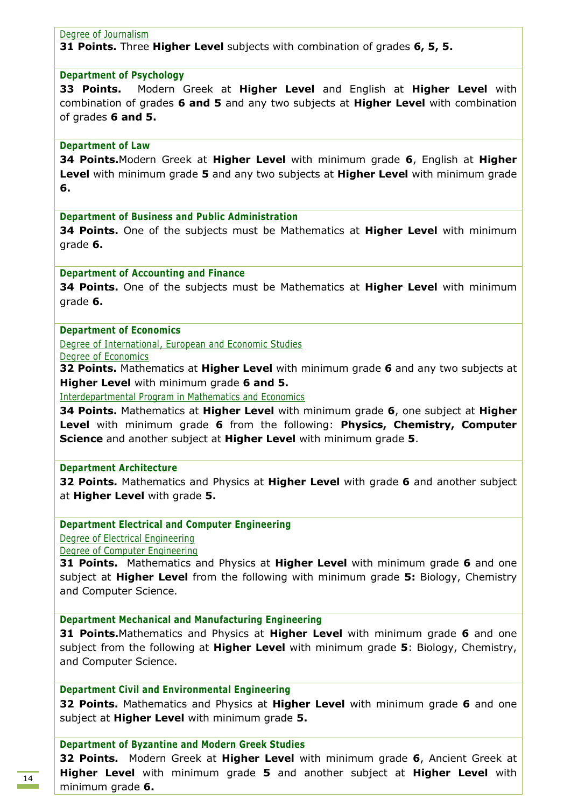#### Degree of Journalism

**31 Points.** Three **Higher Level** subjects with combination of grades **6, 5, 5.**

#### **Department of Psychology**

**33 Points.** Modern Greek at **Higher Level** and English at **Higher Level** with combination of grades **6 and 5** and any two subjects at **Higher Level** with combination of grades **6 and 5.**

#### **Department of Law**

**34 Points.**Modern Greek at **Higher Level** with minimum grade **6**, English at **Higher Level** with minimum grade **5** and any two subjects at **Higher Level** with minimum grade **6.**

**Department of Business and Public Administration** 

**34 Points.** One of the subjects must be Mathematics at **Higher Level** with minimum grade **6.**

#### **Department of Accounting and Finance**

**34 Points.** One of the subjects must be Mathematics at **Higher Level** with minimum grade **6.**

#### **Department of Economics**

Degree of International, European and Economic Studies

Degree of Economics

**32 Points.** Mathematics at **Higher Level** with minimum grade **6** and any two subjects at **Higher Level** with minimum grade **6 and 5.**

Interdepartmental Program in Mathematics and Economics

**34 Points.** Mathematics at **Higher Level** with minimum grade **6**, one subject at **Higher Level** with minimum grade **6** from the following: **Physics, Chemistry, Computer Science** and another subject at **Higher Level** with minimum grade **5**.

#### **Department Architecture**

**32 Points.** Mathematics and Physics at **Higher Level** with grade **6** and another subject at **Higher Level** with grade **5.**

**Department Electrical and Computer Engineering**

Degree of Electrical Engineering

Degree of Computer Engineering

**31 Points.** Mathematics and Physics at **Higher Level** with minimum grade **6** and one subject at **Higher Level** from the following with minimum grade **5:** Biology, Chemistry and Computer Science.

**Department Mechanical and Manufacturing Engineering** 

**31 Points.**Mathematics and Physics at **Higher Level** with minimum grade **6** and one subject from the following at **Higher Level** with minimum grade **5**: Biology, Chemistry, and Computer Science.

**Department Civil and Environmental Engineering**

**32 Points.** Mathematics and Physics at **Higher Level** with minimum grade **6** and one subject at **Higher Level** with minimum grade **5.**

#### **Department of Byzantine and Modern Greek Studies**

**32 Points.** Modern Greek at **Higher Level** with minimum grade **6**, Ancient Greek at **Higher Level** with minimum grade **5** and another subject at **Higher Level** with minimum grade **6.**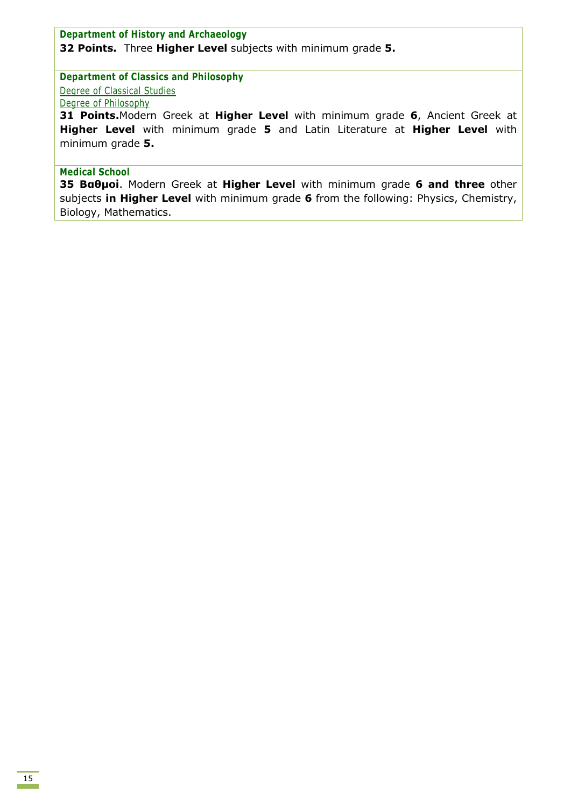# **Department of History and Archaeology 32 Points.** Three **Higher Level** subjects with minimum grade **5.**

### **Department of Classics and Philosophy**

Degree of Classical Studies

# Degree of Philosophy

**31 Points.**Modern Greek at **Higher Level** with minimum grade **6**, Ancient Greek at **Higher Level** with minimum grade **5** and Latin Literature at **Higher Level** with minimum grade **5.** 

### **Medical School**

**35 Βαθμοί**. Modern Greek at **Higher Level** with minimum grade **6 and three** other subjects **in Higher Level** with minimum grade **6** from the following: Physics, Chemistry, Biology, Mathematics.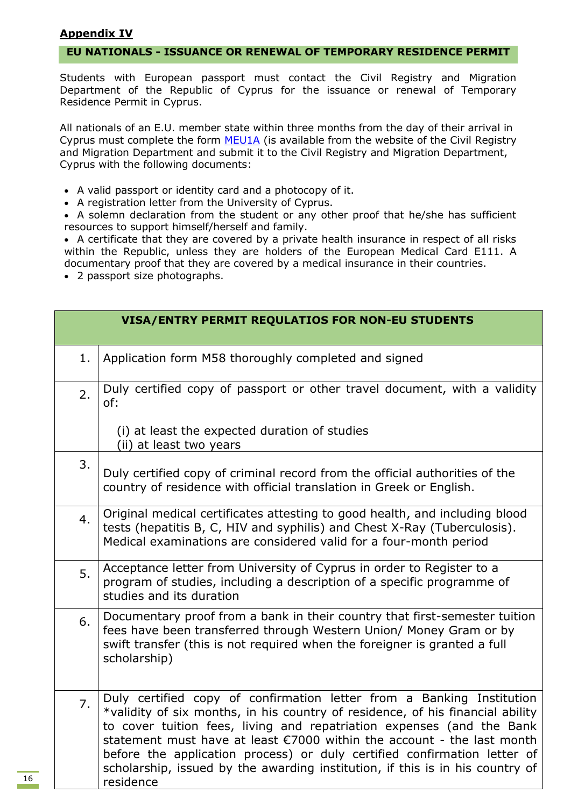# **Appendix IV**

### **EU NATIONALS - ISSUANCE OR RENEWAL OF TEMPORARY RESIDENCE PERMIT**

Students with European passport must contact the Civil Registry and Migration Department of the Republic of Cyprus for the issuance or renewal of Temporary Residence Permit in Cyprus.

All nationals of an E.U. member state within three months from the day of their arrival in Cyprus must complete the form [MEU1A](http://www.moi.gov.cy/moi/crmd/crmd.nsf/461D3DEC6BC490B3C2257D23002CE0BA/$file/%CE%91%CE%99%CE%A4%CE%97%CE%A3%CE%97%20MEU1.pdf) (is available from the website of the Civil Registry and Migration Department and submit it to the Civil Registry and Migration Department, Cyprus with the following documents:

- A valid passport or identity card and a photocopy of it.
- A registration letter from the University of Cyprus.

 A solemn declaration from the student or any other proof that he/she has sufficient resources to support himself/herself and family.

• A certificate that they are covered by a private health insurance in respect of all risks within the Republic, unless they are holders of the European Medical Card E111. A documentary proof that they are covered by a medical insurance in their countries.

2 passport size photographs.

|    | <b>VISA/ENTRY PERMIT REQULATIOS FOR NON-EU STUDENTS</b>                                                                                                                                                                                                                                                                                                                                                                                                                              |
|----|--------------------------------------------------------------------------------------------------------------------------------------------------------------------------------------------------------------------------------------------------------------------------------------------------------------------------------------------------------------------------------------------------------------------------------------------------------------------------------------|
| 1. | Application form M58 thoroughly completed and signed                                                                                                                                                                                                                                                                                                                                                                                                                                 |
| 2. | Duly certified copy of passport or other travel document, with a validity<br>of:                                                                                                                                                                                                                                                                                                                                                                                                     |
|    | (i) at least the expected duration of studies<br>(ii) at least two years                                                                                                                                                                                                                                                                                                                                                                                                             |
| 3. | Duly certified copy of criminal record from the official authorities of the<br>country of residence with official translation in Greek or English.                                                                                                                                                                                                                                                                                                                                   |
| 4. | Original medical certificates attesting to good health, and including blood<br>tests (hepatitis B, C, HIV and syphilis) and Chest X-Ray (Tuberculosis).<br>Medical examinations are considered valid for a four-month period                                                                                                                                                                                                                                                         |
| 5. | Acceptance letter from University of Cyprus in order to Register to a<br>program of studies, including a description of a specific programme of<br>studies and its duration                                                                                                                                                                                                                                                                                                          |
| 6. | Documentary proof from a bank in their country that first-semester tuition<br>fees have been transferred through Western Union/ Money Gram or by<br>swift transfer (this is not required when the foreigner is granted a full<br>scholarship)                                                                                                                                                                                                                                        |
| 7. | Duly certified copy of confirmation letter from a Banking Institution<br>*validity of six months, in his country of residence, of his financial ability<br>to cover tuition fees, living and repatriation expenses (and the Bank<br>statement must have at least €7000 within the account - the last month<br>before the application process) or duly certified confirmation letter of<br>scholarship, issued by the awarding institution, if this is in his country of<br>residence |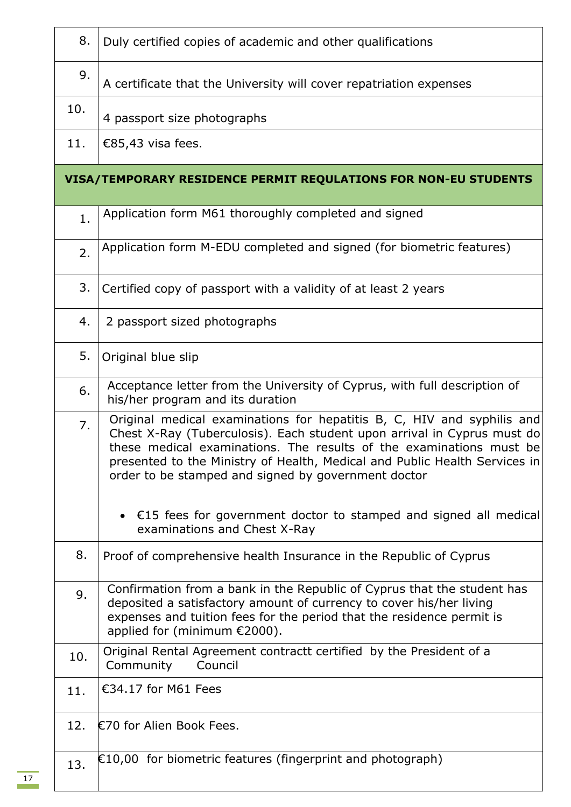| 8.  | Duly certified copies of academic and other qualifications                                                                                                                                                                                                                                                                                                    |
|-----|---------------------------------------------------------------------------------------------------------------------------------------------------------------------------------------------------------------------------------------------------------------------------------------------------------------------------------------------------------------|
| 9.  | A certificate that the University will cover repatriation expenses                                                                                                                                                                                                                                                                                            |
| 10. | 4 passport size photographs                                                                                                                                                                                                                                                                                                                                   |
| 11. | €85,43 visa fees.                                                                                                                                                                                                                                                                                                                                             |
|     | VISA/TEMPORARY RESIDENCE PERMIT REQULATIONS FOR NON-EU STUDENTS                                                                                                                                                                                                                                                                                               |
| 1.  | Application form M61 thoroughly completed and signed                                                                                                                                                                                                                                                                                                          |
| 2.  | Application form M-EDU completed and signed (for biometric features)                                                                                                                                                                                                                                                                                          |
| 3.  | Certified copy of passport with a validity of at least 2 years                                                                                                                                                                                                                                                                                                |
| 4.  | 2 passport sized photographs                                                                                                                                                                                                                                                                                                                                  |
| 5.  | Original blue slip                                                                                                                                                                                                                                                                                                                                            |
| 6.  | Acceptance letter from the University of Cyprus, with full description of<br>his/her program and its duration                                                                                                                                                                                                                                                 |
| 7.  | Original medical examinations for hepatitis B, C, HIV and syphilis and<br>Chest X-Ray (Tuberculosis). Each student upon arrival in Cyprus must do<br>these medical examinations. The results of the examinations must be<br>presented to the Ministry of Health, Medical and Public Health Services in<br>order to be stamped and signed by government doctor |
|     | • $\epsilon$ 15 fees for government doctor to stamped and signed all medical<br>examinations and Chest X-Ray                                                                                                                                                                                                                                                  |
| 8.  | Proof of comprehensive health Insurance in the Republic of Cyprus                                                                                                                                                                                                                                                                                             |
| 9.  | Confirmation from a bank in the Republic of Cyprus that the student has<br>deposited a satisfactory amount of currency to cover his/her living<br>expenses and tuition fees for the period that the residence permit is<br>applied for (minimum €2000).                                                                                                       |
| 10. | Original Rental Agreement contractt certified by the President of a<br>Community<br>Council                                                                                                                                                                                                                                                                   |
| 11. | €34.17 for M61 Fees                                                                                                                                                                                                                                                                                                                                           |
| 12. | €70 for Alien Book Fees.                                                                                                                                                                                                                                                                                                                                      |
| 13. | $E10,00$ for biometric features (fingerprint and photograph)                                                                                                                                                                                                                                                                                                  |